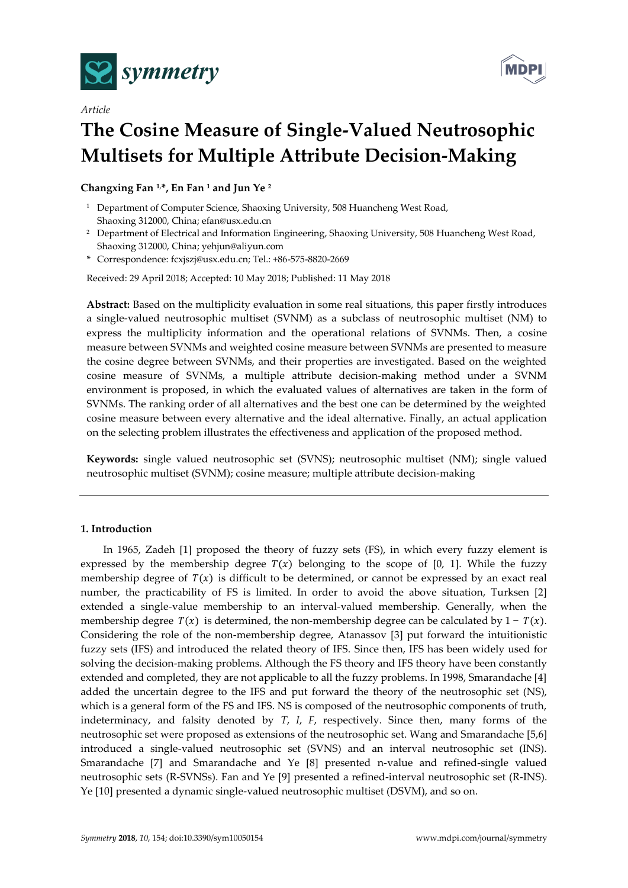

*Article*



# **The Cosine Measure of Single-Valued Neutrosophic Multisets for Multiple Attribute Decision-Making**

**Changxing Fan 1,\*, En Fan <sup>1</sup> and Jun Ye <sup>2</sup>**

- <sup>1</sup> Department of Computer Science, Shaoxing University, 508 Huancheng West Road, Shaoxing 312000, China; efan@usx.edu.cn
- <sup>2</sup> Department of Electrical and Information Engineering, Shaoxing University, 508 Huancheng West Road, Shaoxing 312000, China; yehjun@aliyun.com
- **\*** Correspondence: fcxjszj@usx.edu.cn; Tel.: +86-575-8820-2669

Received: 29 April 2018; Accepted: 10 May 2018; Published: 11 May 2018

**Abstract:** Based on the multiplicity evaluation in some real situations, this paper firstly introduces a single-valued neutrosophic multiset (SVNM) as a subclass of neutrosophic multiset (NM) to express the multiplicity information and the operational relations of SVNMs. Then, a cosine measure between SVNMs and weighted cosine measure between SVNMs are presented to measure the cosine degree between SVNMs, and their properties are investigated. Based on the weighted cosine measure of SVNMs, a multiple attribute decision-making method under a SVNM environment is proposed, in which the evaluated values of alternatives are taken in the form of SVNMs. The ranking order of all alternatives and the best one can be determined by the weighted cosine measure between every alternative and the ideal alternative. Finally, an actual application on the selecting problem illustrates the effectiveness and application of the proposed method.

**Keywords:** single valued neutrosophic set (SVNS); neutrosophic multiset (NM); single valued neutrosophic multiset (SVNM); cosine measure; multiple attribute decision-making

# **1. Introduction**

In 1965, Zadeh [1] proposed the theory of fuzzy sets (FS), in which every fuzzy element is expressed by the membership degree  $T(x)$  belonging to the scope of [0, 1]. While the fuzzy membership degree of  $T(x)$  is difficult to be determined, or cannot be expressed by an exact real number, the practicability of FS is limited. In order to avoid the above situation, Turksen [2] extended a single-value membership to an interval-valued membership. Generally, when the membership degree  $T(x)$  is determined, the non-membership degree can be calculated by 1 –  $T(x)$ . Considering the role of the non-membership degree, Atanassov [3] put forward the intuitionistic fuzzy sets (IFS) and introduced the related theory of IFS. Since then, IFS has been widely used for solving the decision-making problems. Although the FS theory and IFS theory have been constantly extended and completed, they are not applicable to all the fuzzy problems. In 1998, Smarandache [4] added the uncertain degree to the IFS and put forward the theory of the neutrosophic set (NS), which is a general form of the FS and IFS. NS is composed of the neutrosophic components of truth, indeterminacy, and falsity denoted by *T*, *I*, *F*, respectively. Since then, many forms of the neutrosophic set were proposed as extensions of the neutrosophic set. Wang and Smarandache [5,6] introduced a single-valued neutrosophic set (SVNS) and an interval neutrosophic set (INS). Smarandache [7] and Smarandache and Ye [8] presented n-value and refined-single valued neutrosophic sets (R-SVNSs). Fan and Ye [9] presented a refined-interval neutrosophic set (R-INS). Ye [10] presented a dynamic single-valued neutrosophic multiset (DSVM), and so on.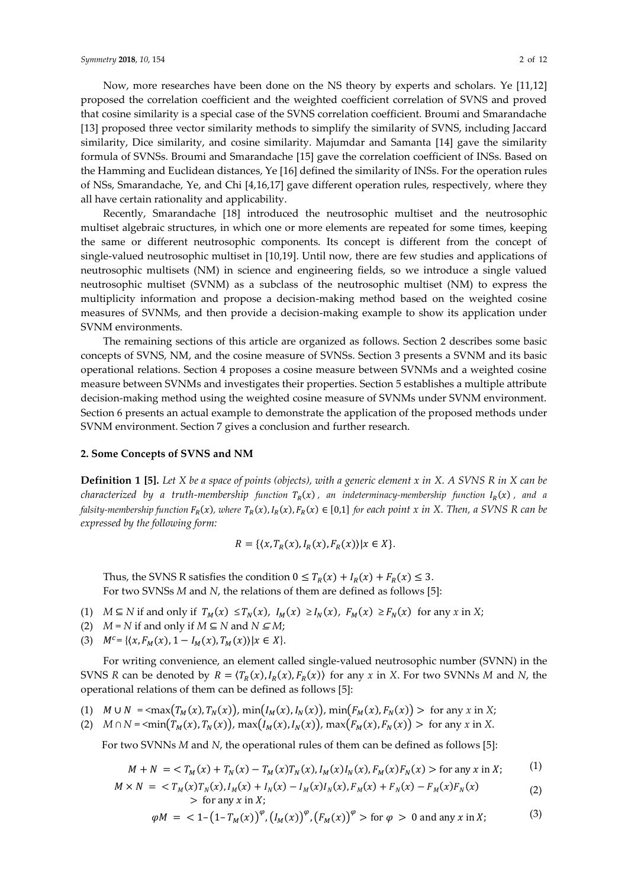Now, more researches have been done on the NS theory by experts and scholars. Ye [11,12] proposed the correlation coefficient and the weighted coefficient correlation of SVNS and proved that cosine similarity is a special case of the SVNS correlation coefficient. Broumi and Smarandache [13] proposed three vector similarity methods to simplify the similarity of SVNS, including Jaccard similarity, Dice similarity, and cosine similarity. Majumdar and Samanta [14] gave the similarity formula of SVNSs. Broumi and Smarandache [15] gave the correlation coefficient of INSs. Based on the Hamming and Euclidean distances, Ye [16] defined the similarity of INSs. For the operation rules of NSs, Smarandache, Ye, and Chi [4,16,17] gave different operation rules, respectively, where they all have certain rationality and applicability.

Recently, Smarandache [18] introduced the neutrosophic multiset and the neutrosophic multiset algebraic structures, in which one or more elements are repeated for some times, keeping the same or different neutrosophic components. Its concept is different from the concept of single-valued neutrosophic multiset in [10,19]. Until now, there are few studies and applications of neutrosophic multisets (NM) in science and engineering fields, so we introduce a single valued neutrosophic multiset (SVNM) as a subclass of the neutrosophic multiset (NM) to express the multiplicity information and propose a decision-making method based on the weighted cosine measures of SVNMs, and then provide a decision-making example to show its application under SVNM environments.

The remaining sections of this article are organized as follows. Section 2 describes some basic concepts of SVNS, NM, and the cosine measure of SVNSs. Section 3 presents a SVNM and its basic operational relations. Section 4 proposes a cosine measure between SVNMs and a weighted cosine measure between SVNMs and investigates their properties. Section 5 establishes a multiple attribute decision-making method using the weighted cosine measure of SVNMs under SVNM environment. Section 6 presents an actual example to demonstrate the application of the proposed methods under SVNM environment. Section 7 gives a conclusion and further research.

#### **2. Some Concepts of SVNS and NM**

**Definition 1 [5].** *Let X be a space of points (objects), with a generic element x in X. A SVNS R in X can be*   $c$ haracterized by a truth-membership function  $T_R(x)$  , an indeterminacy-membership function  $I_R(x)$  , and a falsity-membership function F<sub>R</sub>(x), where T<sub>R</sub>(x),I<sub>R</sub>(x),F<sub>R</sub>(x)  $\in$  [0,1] for each point x in X. Then, a SVNS R can be *expressed by the following form:*

$$
R = \{ \langle x, T_R(x), I_R(x), F_R(x) \rangle | x \in X \}.
$$

Thus, the SVNS R satisfies the condition  $0 \leq T_R(x) + I_R(x) + F_R(x) \leq 3$ . For two SVNSs *M* and *N*, the relations of them are defined as follows [5]:

- (1) *M* ⊆ *N* if and only if  $T_M(x) \leq T_N(x)$ ,  $I_M(x) \geq I_N(x)$ ,  $F_M(x) \geq F_N(x)$  for any *x* in *X*;
- (2)  $M = N$  if and only if  $M \subseteq N$  and  $N \subseteq M$ ;
- (3)  $M^c = \{ (x, F_M(x), 1 I_M(x), T_M(x)) | x \in X \}.$

For writing convenience, an element called single-valued neutrosophic number (SVNN) in the SVNS *R* can be denoted by  $R = \langle T_R(x), I_R(x), F_R(x) \rangle$  for any *x* in *X*. For two SVNNs *M* and *N*, the operational relations of them can be defined as follows [5]:

- (1)  $M \cup N = \frac{\text{max}(T_M(x), T_N(x))}{\text{min}(I_M(x), I_N(x))}$ ,  $\min(F_M(x), F_N(x)) > \text{for any } x \text{ in } X;$
- (2) *M* ∩ *N* = <min( $T_M(x), T_N(x)$ ), max( $I_M(x), I_N(x)$ ), max( $F_M(x), F_N(x)$ ) > for any *x* in *X*.

For two SVNNs *M* and *N*, the operational rules of them can be defined as follows [5]:

$$
M + N = \langle T_M(x) + T_N(x) - T_M(x)T_N(x), I_M(x)I_N(x), F_M(x)F_N(x) \rangle \text{ for any } x \text{ in } X; \tag{1}
$$

$$
M \times N = \langle T_M(x)T_N(x), I_M(x) + I_N(x) - I_M(x)I_N(x), F_M(x) + F_N(x) - F_M(x)F_N(x) \rangle
$$
  
> for any x in X; (2)

$$
\varphi M = \langle 1 - (1 - T_M(x))^{\varphi}, (I_M(x))^{\varphi}, (F_M(x))^{\varphi} \rangle
$$
 for  $\varphi > 0$  and any x in X; (3)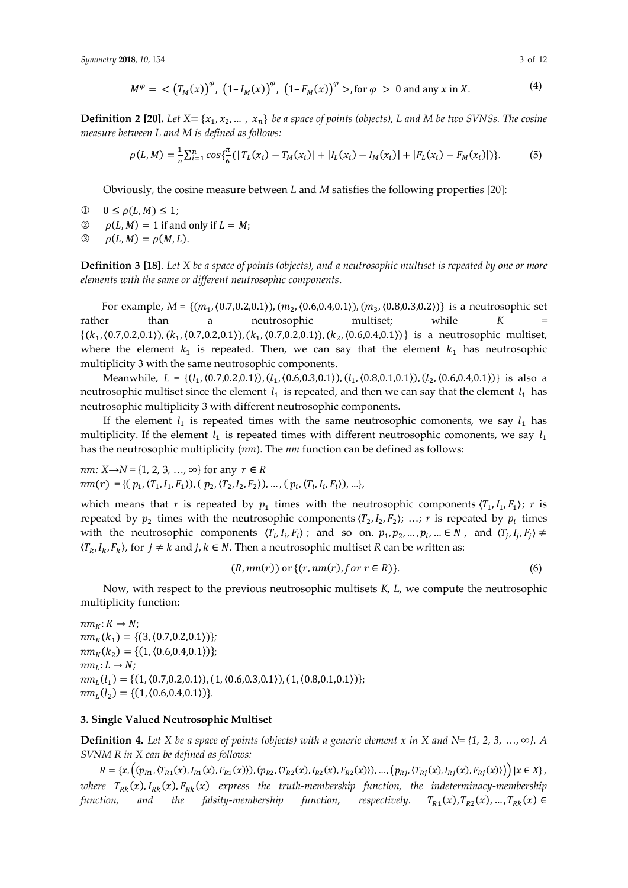$$
M^{\varphi} = \langle (T_M(x))^{\varphi}, (1 - I_M(x))^{\varphi}, (1 - F_M(x))^{\varphi} \rangle, \text{ for } \varphi > 0 \text{ and any } x \text{ in } X. \tag{4}
$$

**Definition 2 [20].** *Let*  $X = \{x_1, x_2, ..., x_n\}$  *be a space of points (objects), L and M be two SVNSs. The cosine measure between L and M is defined as follows:*

$$
\rho(L,M) = \frac{1}{n} \sum_{i=1}^{n} \cos\{\frac{\pi}{6} \left( |T_L(x_i) - T_M(x_i)| + |I_L(x_i) - I_M(x_i)| + |F_L(x_i) - F_M(x_i)| \right) \}.
$$
(5)

Obviously, the cosine measure between *L* and *M* satisfies the following properties [20]:

- $0 \leq \rho(L, M) \leq 1;$
- $\oslash$   $\rho(L, M) = 1$  if and only if  $L = M$ ;
- $\mathcal{O}$   $\rho(L, M) = \rho(M, L).$

**Definition 3 [18]**. *Let X be a space of points (objects), and a neutrosophic multiset is repeated by one or more elements with the same or different neutrosophic components*.

For example,  $M = \{(m_1, (0.7, 0.2, 0.1)), (m_2, (0.6, 0.4, 0.1)), (m_3, (0.8, 0.3, 0.2))\}$  is a neutrosophic set rather than a neutrosophic multiset; while *K*  $\{(k_1, (0.7, 0.2, 0.1)), (k_1, (0.7, 0.2, 0.1)), (k_1, (0.7, 0.2, 0.1)), (k_2, (0.6, 0.4, 0.1))\}$  is a neutrosophic multiset, where the element  $k_1$  is repeated. Then, we can say that the element  $k_1$  has neutrosophic multiplicity 3 with the same neutrosophic components.

Meanwhile, *L* = {(*l*<sub>1</sub>, (0.7,0.2,0.1)), (*l*<sub>1</sub>, (0.6,0.3,0.1)), (*l*<sub>1</sub>, (0.8,0.1,0.1)), (*l*<sub>2</sub>, (0.6,0.4,0.1))} is also a neutrosophic multiset since the element  $l_1$  is repeated, and then we can say that the element  $l_1$  has neutrosophic multiplicity 3 with different neutrosophic components.

If the element  $l_1$  is repeated times with the same neutrosophic comonents, we say  $l_1$  has multiplicity. If the element  $l_1$  is repeated times with different neutrosophic comonents, we say  $l_1$ has the neutrosophic multiplicity (nm). The nm function can be defined as follows:

 $nm: X \rightarrow N = \{1, 2, 3, ..., \infty\}$  for any  $r \in R$  $nm(r) = \{ (p_1, (T_1, I_1, F_1)), (p_2, (T_2, I_2, F_2)), ..., (p_i, (T_i, I_i, F_i)), ...\},$ 

which means that *r* is repeated by  $p_1$  times with the neutrosophic components  $\langle T_1, I_1, F_1 \rangle$ ; *r* is repeated by  $p_2$  times with the neutrosophic components  $\langle T_2, I_2, F_2 \rangle$ ; ...; *r* is repeated by  $p_i$  times with the neutrosophic components  $\langle T_i, I_i, F_i \rangle$ ; and so on.  $p_1, p_2, ..., p_i, ... \in N$ , and  $\langle T_j, I_j, F_j \rangle \neq$  $\langle T_k, I_k, F_k \rangle$ , for  $j \neq k$  and  $j, k \in N$ . Then a neutrosophic multiset *R* can be written as:

$$
(R, nm(r)) \text{ or } \{(r, nm(r), for r \in R)\}. \tag{6}
$$

Now, with respect to the previous neutrosophic multisets *K, L*, we compute the neutrosophic multiplicity function:

 $nm_K: K \to N;$  $nm_K(k_1) = \{(3, (0.7, 0.2, 0.1))\};$  $nm_K(k_2) = \{(1, \langle 0.6, 0.4, 0.1 \rangle)\};$  $nm_L: L \rightarrow N;$  $nm_L(l_1) = \{(1, (0.7, 0.2, 0.1)), (1, (0.6, 0.3, 0.1)), (1, (0.8, 0.1, 0.1))\};$  $nm_L(l_2) = \{(1, \langle 0.6, 0.4, 0.1 \rangle)\}.$ 

# **3. Single Valued Neutrosophic Multiset**

**Definition 4.** *Let X be a* space of points (objects) with a generic element x in X and N= {1, 2, 3, ..., ∞}. A *SVNM R in X can be defined as follows:*

 $R = \{x, \left( (p_{R1}, \langle T_{R1}(x), I_{R1}(x), F_{R1}(x) \rangle), (p_{R2}, \langle T_{R2}(x), I_{R2}(x), F_{R2}(x) \rangle), \dots, (p_{Rj}, \langle T_{Rj}(x), I_{Rj}(x), F_{Rj}(x) \rangle) \right) | x \in X \},$ *where*  $T_{Rk}(x)$ ,  $I_{Rk}(x)$ ,  $F_{Rk}(x)$  express the truth-membership function, the indeterminacy-membership *function, and the falsity-membership function,*  $(x), T_{R2}(x), ..., T_{Rk}(x) \in$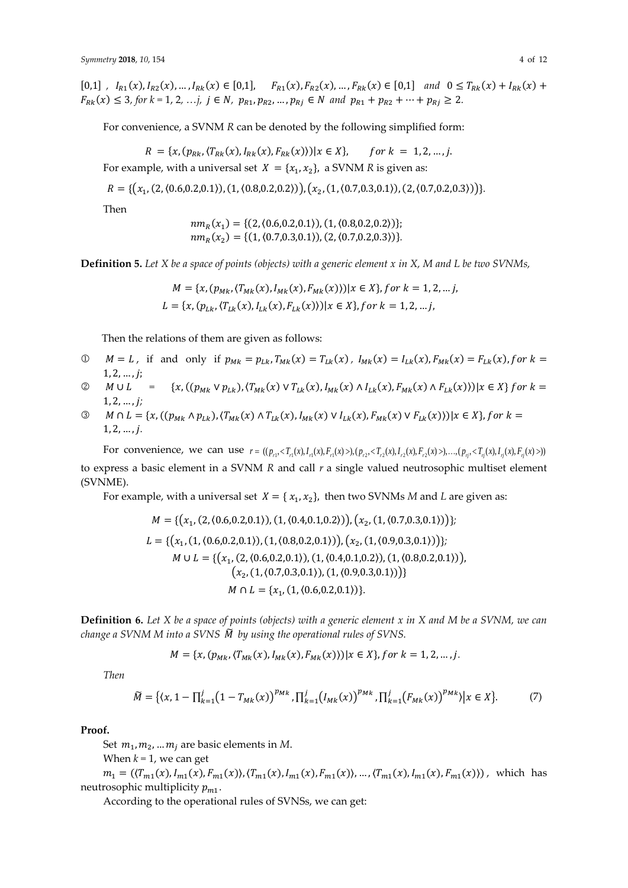$[0,1]$ ,  $I_{R1}(x), I_{R2}(x), \ldots, I_{Rk}(x) \in [0,1], \quad F_{R1}(x), F_{R2}(x), \ldots, F_{Rk}(x) \in [0,1]$  and  $0 \le T_{Rk}(x) + I_{Rk}(x) + I_{Rk}(x)$  $F_{Rk}(x) \leq 3$ , for  $k = 1, 2, ..., j$ ,  $j \in N$ ,  $p_{R1}, p_{R2}, ..., p_{Rj} \in N$  and  $p_{R1} + p_{R2} + ... + p_{Rj} \geq 2$ .

For convenience, a SVNM *R* can be denoted by the following simplified form:

$$
R = \{x, (p_{Rk}, (T_{Rk}(x), I_{Rk}(x), F_{Rk}(x))) | x \in X\}, \quad \text{for } k = 1, 2, ..., j.
$$

For example, with a universal set  $X = \{x_1, x_2\}$ , a SVNM R is given as:

$$
R = \{ (x_1, (2, (0.6, 0.2, 0.1)), (1, (0.8, 0.2, 0.2))) , (x_2, (1, (0.7, 0.3, 0.1)), (2, (0.7, 0.2, 0.3))) \}.
$$

Then

$$
nm_R(x_1) = \{ (2, (0.6, 0.2, 0.1)), (1, (0.8, 0.2, 0.2)) \};
$$
  

$$
nm_R(x_2) = \{ (1, (0.7, 0.3, 0.1)), (2, (0.7, 0.2, 0.3)) \}.
$$

**Definition 5.** *Let X be a space of points (objects) with a generic element x in X, M and L be two SVNMs,*

$$
M = \{x, (p_{Mk}, \langle T_{Mk}(x), I_{Mk}(x), F_{Mk}(x) \rangle) | x \in X\}, \text{for } k = 1, 2, \dots \text{,}
$$
\n
$$
L = \{x, (p_{Lk}, \langle T_{Lk}(x), I_{Lk}(x), F_{Lk}(x) \rangle) | x \in X\}, \text{for } k = 1, 2, \dots \text{,}
$$

Then the relations of them are given as follows:

- $\mathcal{D}$   $M = L$ , if and only if  $p_{Mk} = p_{Lk}$ ,  $T_{Mk}(x) = T_{Lk}(x)$ ,  $I_{Mk}(x) = I_{Lk}(x)$ ,  $F_{Mk}(x) = F_{Lk}(x)$ , for  $k =$  $1, 2, \ldots, j;$
- $\mathcal{Q}$  *M*  $\cup$  *L* = { $x$ ,  $((p_{Mk} \vee p_{Lk}), (T_{Mk}(x) \vee T_{Lk}(x), I_{Mk}(x) \wedge I_{Lk}(x), F_{Mk}(x) \wedge F_{Lk}(x)))|x \in X$  for  $k =$ 1, 2, … ,*;*
- ①  $M \cap L = \{x, ((p_{Mk} \land p_{Lk}), (T_{Mk}(x) \land T_{Lk}(x), I_{Mk}(x) \lor I_{Lk}(x), F_{Mk}(x) \lor F_{Lk}(x)) ) | x \in X\}, for k =$ 1, 2, … ,*.*

For convenience, we can use  $r = ((p_{r1}, \langle T_{r1}(x), F_{r1}(x), F_{r1}(x), P_{r2}(x), F_{r2}(x), F_{r2}(x), F_{r2}(x), F_{r3}(x), F_{r4}(x), F_{r5}(x), F_{r6}(x), F_{r7}(x), F_{r8}(x), F_{r9}(x), F_{r1}(x), F_{r1}(x), F_{r1}(x), F_{r1}(x), F_{r2}(x), F_{r4}(x), F_{r5}(x), F_{r6}(x), F_{r7}(x), F_{r8}(x), F_{r9}(x), F_{r1}(x),$ to express a basic element in a SVNM *R* and call *r* a single valued neutrosophic multiset element (SVNME).

For example, with a universal set  $X = \{x_1, x_2\}$ , then two SVNMs M and L are given as:

$$
M = \{ (x_1, (2, (0.6, 0.2, 0.1)), (1, (0.4, 0.1, 0.2))), (x_2, (1, (0.7, 0.3, 0.1)) ) \};
$$
  
\n
$$
L = \{ (x_1, (1, (0.6, 0.2, 0.1)), (1, (0.8, 0.2, 0.1))), (x_2, (1, (0.9, 0.3, 0.1)) ) \};
$$
  
\n
$$
M \cup L = \{ (x_1, (2, (0.6, 0.2, 0.1)), (1, (0.4, 0.1, 0.2)), (1, (0.8, 0.2, 0.1)) ) , (x_2, (1, (0.7, 0.3, 0.1)), (1, (0.9, 0.3, 0.1)) ) \}
$$
  
\n
$$
M \cap L = \{ x_1, (1, (0.6, 0.2, 0.1)) \}.
$$

**Definition 6.** *Let X be a space of points (objects) with a generic element x in X and M be a SVNM, we can change a SVNM M into a SVNS* ̃ *by using the operational rules of SVNS.*

$$
M = \{x, (p_{Mk}, (T_{Mk}(x), I_{Mk}(x), F_{Mk}(x))) | x \in X\}, for k = 1, 2, ..., j.
$$

*Then*

$$
\widetilde{M} = \{(x, 1 - \prod_{k=1}^{j} (1 - T_{Mk}(x))^{p_{Mk}}, \prod_{k=1}^{j} (I_{Mk}(x))^{p_{Mk}}, \prod_{k=1}^{j} (F_{Mk}(x))^{p_{Mk}} \mid x \in X\}. \tag{7}
$$

#### **Proof.**

Set  $m_1, m_2, ... m_j$  are basic elements in M.

When  $k = 1$ , we can get

 $m_1 = (\langle T_{m1}(x), I_{m1}(x), F_{m1}(x), \langle T_{m1}(x), I_{m1}(x), F_{m1}(x), \dots, \langle T_{m1}(x), I_{m1}(x), F_{m1}(x) \rangle)$ , which has neutrosophic multiplicity  $p_{m1}$ .

According to the operational rules of SVNSs, we can get: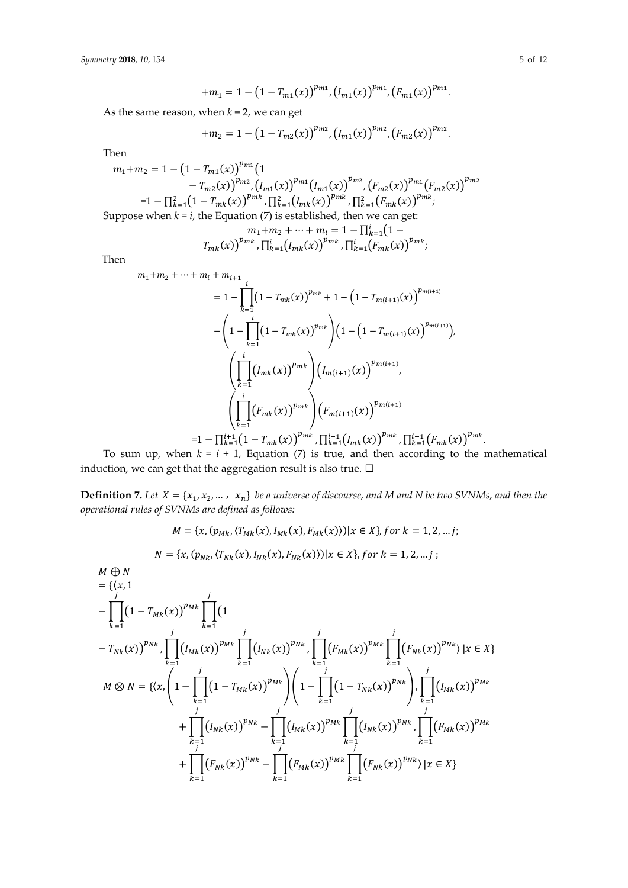$$
+m_1=1-\big(1-T_{m1}(x)\big)^{p_{m1}},\big(I_{m1}(x)\big)^{p_{m1}},\big(F_{m1}(x)\big)^{p_{m1}}.
$$

As the same reason, when  $k = 2$ , we can get

$$
+m_2=1-\big(1-T_{m2}(x)\big)^{p_{m2}},\big(I_{m1}(x)\big)^{p_{m2}},\big(F_{m2}(x)\big)^{p_{m2}}.
$$

Then

$$
m_1 + m_2 = 1 - \left(1 - T_{m1}(x)\right)^{p_{m1}} \left(1 - T_{m2}(x)\right)^{p_{m2}} \left(I_{m1}(x)\right)^{p_{m2}} \left(I_{m2}(x)\right)^{p_{m2}} \left(F_{m2}(x)\right)^{p_{m1}} \left(F_{m2}(x)\right)^{p_{m2}}
$$
\n
$$
= 1 - \prod_{k=1}^{2} \left(1 - T_{mk}(x)\right)^{p_{mk}} \prod_{k=1}^{2} \left(I_{mk}(x)\right)^{p_{mk}} \prod_{k=1}^{2} \left(F_{mk}(x)\right)^{p_{mk}},
$$
\nSuppose when  $k = i$ , the Equation (7) is established, then we can get:

$$
m_1 + m_2 + \dots + m_i = 1 - \prod_{k=1}^{i} (1 - T_{mk}(x))^{pmk}
$$

$$
T_{mk}(x))^{pmk}
$$

$$
\prod_{k=1}^{i} (I_{mk}(x))^{pmk}
$$

$$
\prod_{k=1}^{i} (F_{mk}(x))^{pmk}
$$

Then

$$
m_{1}+m_{2}+\cdots+m_{i}+m_{i+1}
$$
\n
$$
=1-\prod_{k=1}^{i}\left(1-T_{mk}(x)\right)^{p_{mk}}+1-\left(1-T_{m(i+1)}(x)\right)^{p_{m(i+1)}}
$$
\n
$$
-\left(1-\prod_{k=1}^{i}\left(1-T_{mk}(x)\right)^{p_{mk}}\right)\left(1-\left(1-T_{m(i+1)}(x)\right)^{p_{m(i+1)}}\right),
$$
\n
$$
\left(\prod_{k=1}^{i}\left(l_{mk}(x)\right)^{p_{mk}}\right)\left(l_{m(i+1)}(x)\right)^{p_{m(i+1)}},
$$
\n
$$
=1-\prod_{k=1}^{i+1}\left(F_{mk}(x)\right)^{p_{mk}}\right)\left(F_{m(i+1)}(x)\right)^{p_{m(i+1)}}
$$
\n
$$
=1-\prod_{k=1}^{i+1}\left(1-T_{mk}(x)\right)^{p_{mk}}, \prod_{k=1}^{i+1}\left(I_{mk}(x)\right)^{p_{mk}}, \prod_{k=1}^{i+1}\left(F_{mk}(x)\right)^{p_{mk}}.
$$

To sum up, when  $k = i + 1$ , Equation (7) is true, and then according to the mathematical induction, we can get that the aggregation result is also true.  $\Box$ 

**Definition 7.** Let  $X = \{x_1, x_2, ..., x_n\}$  be a universe of discourse, and M and N be two SVNMs, and then the *operational rules of SVNMs are defined as follows:*

$$
M = \{x, (p_{Mk}, (T_{Mk}(x), I_{Mk}(x), F_{Mk}(x))) | x \in X\}, \text{for } k = 1, 2, \ldots\}
$$

$$
N = \{x, (p_{Nk}, (T_{Nk}(x), I_{Nk}(x), F_{Nk}(x))) | x \in X\}, \text{for } k = 1, 2, \ldots j ;
$$

$$
M \oplus N
$$
  
\n
$$
= {(x, 1)
$$
\n
$$
- \prod_{k=1}^{j} (1 - T_{Mk}(x))^{p_{Mk}} \prod_{k=1}^{j} (1
$$
\n
$$
- T_{Nk}(x))^{p_{Nk}} \prod_{k=1}^{j} (I_{Mk}(x))^{p_{Mk}} \prod_{k=1}^{j} (I_{Nk}(x))^{p_{Nk}} \prod_{k=1}^{j} (F_{Mk}(x))^{p_{Mk}} \prod_{k=1}^{j} (F_{Nk}(x))^{p_{Nk}}) |x \in X
$$
\n
$$
M \otimes N = {(x, (1 - \prod_{k=1}^{j} (1 - T_{Mk}(x)))^{p_{Mk}})(1 - \prod_{k=1}^{j} (1 - T_{Nk}(x))^{p_{Nk}}) \prod_{k=1}^{j} (I_{Mk}(x))^{p_{Mk}} + \prod_{k=1}^{j} (I_{Nk}(x))^{p_{Nk}} - \prod_{k=1}^{j} (I_{Mk}(x))^{p_{Mk}} \prod_{k=1}^{j} (I_{Nk}(x))^{p_{Nk}} \prod_{k=1}^{j} (F_{Mk}(x))^{p_{Mk}} + \prod_{k=1}^{j} (F_{Nk}(x))^{p_{Nk}} - \prod_{k=1}^{j} (F_{Mk}(x))^{p_{Mk}} \prod_{k=1}^{j} (F_{Nk}(x))^{p_{Nk}}) |x \in X
$$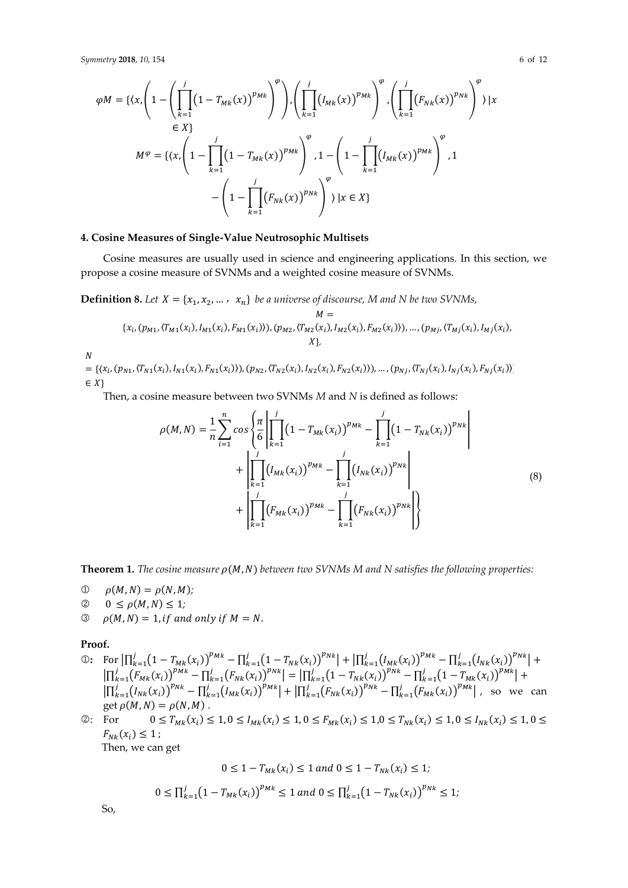$$
\varphi M = \{ \langle x, \left( 1 - \left( \prod_{k=1}^{j} \left( 1 - T_{Mk}(x) \right)^{p_{Mk}} \right)^{\varphi} \right), \left( \prod_{k=1}^{j} \left( I_{Mk}(x) \right)^{p_{Mk}} \right)^{\varphi}, \left( \prod_{k=1}^{j} \left( F_{Nk}(x) \right)^{p_{Nk}} \right)^{\varphi} \} | x \in X \}
$$
  
\n
$$
M^{\varphi} = \{ \langle x, \left( 1 - \prod_{k=1}^{j} \left( 1 - T_{Mk}(x) \right)^{p_{Mk}} \right)^{\varphi}, 1 - \left( 1 - \prod_{k=1}^{j} \left( I_{Mk}(x) \right)^{p_{Mk}} \right)^{\varphi}, 1 - \left( 1 - \prod_{k=1}^{j} \left( F_{Nk}(x) \right)^{p_{Mk}} \right)^{\varphi} \} | x \in X \}
$$

## **4. Cosine Measures of Single-Value Neutrosophic Multisets**

Cosine measures are usually used in science and engineering applications. In this section, we propose a cosine measure of SVNMs and a weighted cosine measure of SVNMs.

**Definition 8.** Let  $X = \{x_1, x_2, \dots, x_n\}$  be a universe of discourse, M and N be two SVNMs,

$$
M =
$$
  
{ $x_i$ ,  $(p_{M1}, \langle T_{M1}(x_i), I_{M1}(x_i), F_{M1}(x_i) \rangle)$ ,  $(p_{M2}, \langle T_{M2}(x_i), I_{M2}(x_i), F_{M2}(x_i) \rangle)$ , ...,  $(p_{Mj}, \langle T_{Mj}(x_i), I_{Mj}(x_i), F_{M2}(x_i), F_{M2}(x_i) \rangle)$ , ...,  $(p_{Mj}, \langle T_{Mj}(x_i), I_{Mj}(x_i), F_{M1}(x_i) \rangle)$ 

 $\overline{N}$ 

 $=\{(x_i,(p_{N1},(T_{N1}(x_i),I_{N1}(x_i),F_{N1}(x_i))),(p_{N2},(T_{N2}(x_i),I_{N2}(x_i),F_{N2}(x_i))),\ldots,(p_{Nj},(T_{Nj}(x_i),I_{Nj}(x_i),F_{Nj}(x_i))]$  $\in X$ 

Then, a cosine measure between two SVNMs *M* and *N* is defined as follows:

$$
\rho(M,N) = \frac{1}{n} \sum_{i=1}^{n} \cos \left\{ \frac{\pi}{6} \left| \prod_{k=1}^{j} (1 - T_{Mk}(x_i))^{p_{Mk}} - \prod_{k=1}^{j} (1 - T_{Nk}(x_i))^{p_{Nk}} \right| + \left| \prod_{k=1}^{j} (I_{Mk}(x_i))^{p_{Mk}} - \prod_{k=1}^{j} (I_{Nk}(x_i))^{p_{Nk}} \right| + \left| \prod_{k=1}^{j} (F_{Mk}(x_i))^{p_{Mk}} - \prod_{k=1}^{j} (F_{Nk}(x_i))^{p_{Nk}} \right| \right\}
$$
\n(8)

**Theorem 1.** *The cosine measure*  $\rho(M, N)$  *between two SVNMs M and N satisfies the following properties:* 

- $\Phi(M, N) = \rho(N, M);$
- $\oslash \quad 0 \leq \rho(M, N) \leq 1;$
- $\mathcal{O}$   $\rho(M, N) = 1$ , if and only if  $M = N$ .

#### **Proof.**

①: For  $\left| \prod_{k=1}^{j} (1 - T_{Mk}(x_i))^{p_{Mk}} - \prod_{k=1}^{j} (1 - T_{Nk}(x_i))^{p_{Nk}} \right| + \left| \prod_{k=1}^{j} (I_{Mk}(x_i))^{p_{Mk}} - \prod_{k=1}^{j} (I_{Nk}(x_i))^{p_{Nk}} \right| +$  $\left|\prod_{k=1}^{j}(F_{Mk}(x_i))^{p_{Mk}} - \prod_{k=1}^{j}(F_{Nk}(x_i))^{p_{Nk}}\right| = \left|\prod_{k=1}^{j}(1-T_{Nk}(x_i))^{p_{Nk}} - \prod_{k=1}^{j}(1-T_{Mk}(x_i))^{p_{Mk}}\right| +$  $\left| \prod_{k=1}^{j} (I_{Nk}(x_i))^{p_{Nk}} - \prod_{k=1}^{j} (I_{Mk}(x_i))^{p_{Mk}} \right| + \left| \prod_{k=1}^{j} (F_{Nk}(x_i))^{p_{Nk}} - \prod_{k=1}^{j} (F_{Mk}(x_i))^{p_{Mk}} \right|$ , so we can get  $\rho(M, N) = \rho(N, M)$ .

②: For  $0 \le T_{Mk}(x_i) \le 1, 0 \le I_{Mk}(x_i) \le 1, 0 \le F_{Mk}(x_i) \le 1, 0 \le T_{Nk}(x_i) \le 1, 0 \le I_{Nk}(x_i) \le 1, 0 \le I_{Mk}(x_i) \le 1$  $F_{Nk}(x_i) \leq 1;$ 

Then, we can get

$$
0 \le 1 - T_{Mk}(x_i) \le 1 \text{ and } 0 \le 1 - T_{Nk}(x_i) \le 1;
$$
  

$$
0 \le \prod_{k=1}^{j} (1 - T_{Mk}(x_i))^{p_{Mk}} \le 1 \text{ and } 0 \le \prod_{k=1}^{j} (1 - T_{Nk}(x_i))^{p_{Nk}} \le 1;
$$

So,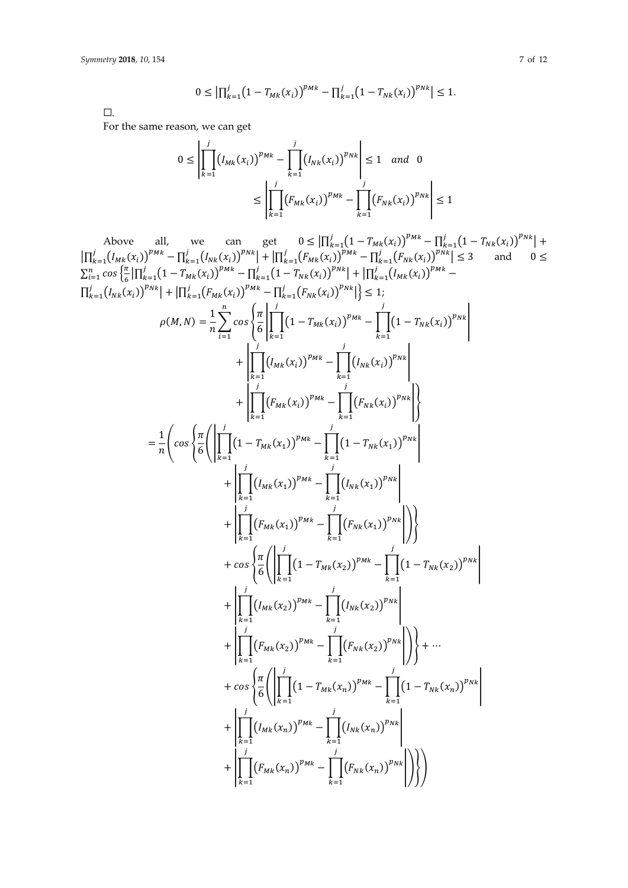$$
0 \leq \left| \prod_{k=1}^{j} \left( 1 - T_{Mk}(x_i) \right)^{p_{Mk}} - \prod_{k=1}^{j} \left( 1 - T_{Nk}(x_i) \right)^{p_{Nk}} \right| \leq 1.
$$

 $\Box$ 

For the same reason, we can get

$$
0 \le \left| \prod_{k=1}^{j} (I_{Mk}(x_i))^{p_{Mk}} - \prod_{k=1}^{j} (I_{Nk}(x_i))^{p_{Nk}} \right| \le 1 \text{ and } 0
$$
  

$$
\le \left| \prod_{k=1}^{j} (F_{Mk}(x_i))^{p_{Mk}} - \prod_{k=1}^{j} (F_{Nk}(x_i))^{p_{Nk}} \right| \le 1
$$

Above all, we can get  $0 \le |\prod_{k=1}^{j} (1 - T_{Mk}(x_i))^{p_{Mk}} - \prod_{k=1}^{j} (1 - T_{Nk}(x_i))^{p_{Nk}}| +$ <br>  $|\prod_{k=1}^{j} (I_{Mk}(x_i))^{p_{Mk}} - \prod_{k=1}^{j} (I_{Mk}(x_i))^{p_{Mk}}| + |\prod_{k=1}^{j} (F_{Mk}(x_i))^{p_{Mk}} - \prod_{k=1}^{j} (F_{Nk}(x_i))^{p_{Nk}}| \le 3$  and  $0 \le$  $\sum_{i=1}^{n} \cos \left\{ \frac{\pi}{6} \left| \prod_{k=1}^{j} (1 - T_{Mk}(x_i)) \right|^{p_{Mk}} - \prod_{k=1}^{j} (1 - T_{Nk}(x_i)) \right\}^{p_{Nk}} \right| + \left| \prod_{k=1}^{N} (I_{Mk}(x_i)) \right|^{p_{Mk}} \left|\prod_{k=1}^{j} (I_{Nk}(x_i))^{p_{Nk}}\right| + \left|\prod_{k=1}^{j} (F_{Mk}(x_i))^{p_{Mk}} - \prod_{k=1}^{j} (F_{Nk}(x_i))^{p_{Nk}}\right|\right| \leq 1;$  $\rho(M,N) = \frac{1}{n} \sum_{i=1}^{n} \cos \left\{ \frac{\pi}{6} \left| \prod_{i=1}^{j} (1 - T_{Mk}(x_i))^{p_{Mk}} - \prod_{i=1}^{j} (1 - T_{Nk}(x_i))^{p_{Nk}} \right| \right\}$ +  $\left| \prod_{i=1}^{j} (I_{Mk}(x_i))^{p_{Mk}} - \prod_{i=1}^{j} (I_{Nk}(x_i))^{p_{Nk}} \right|$ +  $\left| \prod_{i=1}^{j} (F_{Mk}(x_i))^{p_{Mk}} - \prod_{i=1}^{j} (F_{Nk}(x_i))^{p_{Nk}} \right|$  $= \frac{1}{n} \left( cos \left\{ \frac{\pi}{6} \right\} \left| \prod_{k=1}^{j} \left(1 - T_{Mk}(x_1) \right)^{p_{Mk}} - \prod_{k=1}^{j} \left(1 - T_{Nk}(x_1) \right)^{p_{Nk}} \right|$ +  $\left| \prod_{k=1}^{n} (I_{Mk}(x_1))^{p_{Mk}} - \prod_{k=1}^{n} (I_{Nk}(x_1))^{p_{Nk}} \right|$ +  $\left| \prod_{k=1}^{j} (F_{Mk}(x_1))^{p_{Mk}} - \prod_{k=1}^{j} (F_{Nk}(x_1))^{p_{Nk}} \right| \bigg\rangle$  $+ \cos \left\{ \frac{\pi}{6} \right\} \left[ \prod_{k=1}^{J} (1 - T_{Mk}(x_2))^{p_{Mk}} - \prod_{k=1}^{J} (1 - T_{Nk}(x_2))^{p_{Nk}} \right]$ +  $\left| \prod_{k=1}^{n} (I_{Mk}(x_2))^{p_{Mk}} - \prod_{k=1}^{n} (I_{Nk}(x_2))^{p_{Nk}} \right|$ +  $\left| \prod_{k=1}^{N} (F_{Mk}(x_2))^{p_{Mk}} - \prod_{k=1}^{N} (F_{Nk}(x_2))^{p_{Nk}} \right| \Bigg) \Bigg\} + \cdots$  $+ \cos \left\{ \frac{\pi}{6} \right\} \left[ \prod_{k=1}^{J} (1 - T_{Mk}(x_n))^{p_{Mk}} - \prod_{k=1}^{J} (1 - T_{Nk}(x_n))^{p_{Nk}} \right]$ +  $\left| \prod_{n=1}^{N} (I_{Mk}(x_n))^{p_{Mk}} - \prod_{n=1}^{N} (I_{Nk}(x_n))^{p_{Nk}} \right|$ +  $\left|\prod_{i=1}^{j} (F_{Mk}(x_n))^{p_{Mk}} - \prod_{i=1}^{j} (F_{Nk}(x_n))^{p_{Nk}}\right|\right\rangle\right\rangle$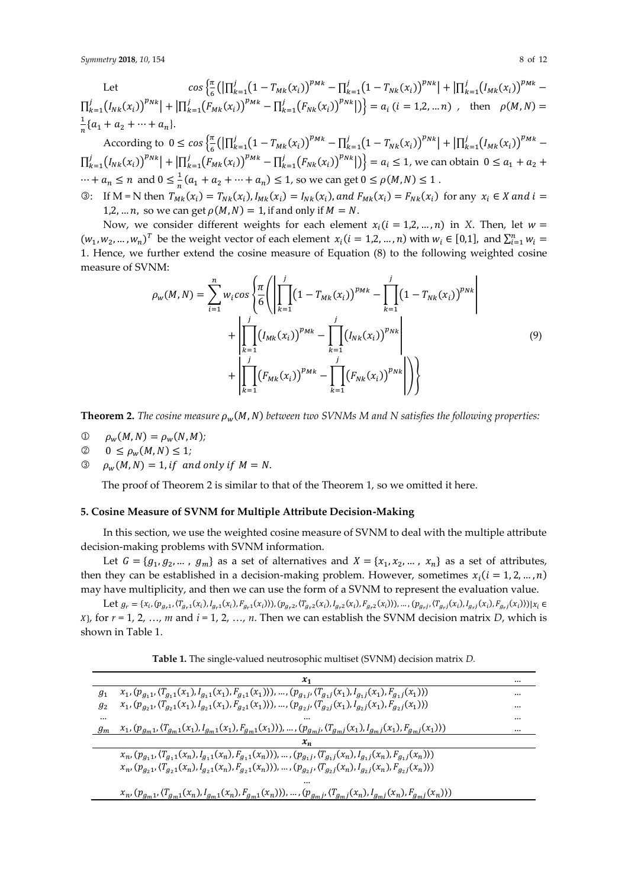Let  $\cos\left\{\frac{\pi}{6}\right\}$  $\frac{\pi}{6} \big( \big| \prod_{k=1}^{j} (1 - T_{Mk}(x_i))^{p_{Mk}} - \prod_{k=1}^{j} (1 - T_{Nk}(x_i))^{p_{Nk}} \big| + \big| \prod_{k=1}^{j} (I_{Mk}(x_i))^{p_{Mk}} \prod_{k=1}^{j} (I_{Nk}(x_i))^{p_{Nk}} + |\prod_{k=1}^{j} (F_{Mk}(x_i))^{p_{Mk}} - \prod_{k=1}^{j} (F_{Nk}(x_i))^{p_{Nk}}|) \bigg\} = a_i$  (*i* = 1,2, ... *n*), then  $\rho(M, N) =$ 1  $\frac{1}{n}$ { $a_1$  +  $a_2$  + … +  $a_n$ }.

According to  $0 \leq \cos \left( \frac{\pi}{6} \left( \left| \prod_{k=1}^{j} (1 - T_{Mk}(x_i)) \right|^{p_{Mk}} - \prod_{k=1}^{j} (1 - T_{Nk}(x_i)) \right|^{p_{Nk}} \right) + \left| \prod_{k=1}^{j} (I_{Mk}(x_i)) \right|^{p_{Mk}} -$ 6  $\prod_{k=1}^{j} (I_{Nk}(x_i))^{p_{Nk}} + |\prod_{k=1}^{j} (F_{Mk}(x_i))^{p_{Mk}} - \prod_{k=1}^{j} (F_{Nk}(x_i))^{p_{Nk}}| \big) = a_i \le 1$ , we can obtain  $0 \le a_1 + a_2 + \dots$  $\cdots + a_n \leq n$  and  $0 \leq \frac{1}{n}$  $\frac{1}{n}(a_1 + a_2 + \dots + a_n) \le 1$ , so we can get  $0 \le \rho(M, N) \le 1$ .

3: If M = N then  $T_{Mk}(x_i) = T_{Nk}(x_i)$ ,  $I_{Mk}(x_i) = I_{Nk}(x_i)$ , and  $F_{Mk}(x_i) = F_{Nk}(x_i)$  for any  $x_i \in X$  and  $i =$ 1,2, ... *n*, so we can get  $\rho(M, N) = 1$ , if and only if  $M = N$ .

Now, we consider different weights for each element  $x_i$  ( $i = 1,2,..., n$ ) in *X*. Then, let  $w =$  $(w_1, w_2, ..., w_n)^T$  be the weight vector of each element  $x_i$  ( $i = 1, 2, ..., n$ ) with  $w_i \in [0,1]$ , and  $\sum_{i=1}^n w_i =$ 1. Hence, we further extend the cosine measure of Equation (8) to the following weighted cosine measure of SVNM:

$$
\rho_{w}(M,N) = \sum_{i=1}^{n} w_{i} \cos \left\{ \frac{\pi}{6} \left( \left| \prod_{k=1}^{j} (1 - T_{Mk}(x_{i}))^{p_{Mk}} - \prod_{k=1}^{j} (1 - T_{Nk}(x_{i}))^{p_{Nk}} \right| + \left| \prod_{k=1}^{j} (I_{Mk}(x_{i}))^{p_{Mk}} - \prod_{k=1}^{j} (I_{Nk}(x_{i}))^{p_{Nk}} \right| + \left| \prod_{k=1}^{j} (F_{Mk}(x_{i}))^{p_{Mk}} - \prod_{k=1}^{j} (F_{Nk}(x_{i}))^{p_{Nk}} \right| \right) \right\}
$$
\n(9)

**Theorem 2.** *The cosine measure*  $\rho_w(M, N)$  *between two SVNMs M and N satisfies the following properties:* 

- $\mathbb{D}$   $\rho_w(M, N) = \rho_w(N, M);$
- $0 \leq \rho_w(M, N) \leq 1;$
- $\mathcal{O}$   $\rho_w(M, N) = 1$ , if and only if  $M = N$ .

The proof of Theorem 2 is similar to that of the Theorem 1, so we omitted it here.

## **5. Cosine Measure of SVNM for Multiple Attribute Decision-Making**

In this section, we use the weighted cosine measure of SVNM to deal with the multiple attribute decision-making problems with SVNM information.

Let  $G = \{g_1, g_2, ..., g_m\}$  as a set of alternatives and  $X = \{x_1, x_2, ..., x_n\}$  as a set of attributes, then they can be established in a decision-making problem. However, sometimes  $x_i$  ( $i = 1, 2, ..., n$ ) may have multiplicity, and then we can use the form of a SVNM to represent the evaluation value.

Let  $g_r = \{x_i, (p_{g_r1}, (T_{g_r1}(x_i), I_{g_r1}(x_i), F_{g_r1}(x_i))), (p_{g_r2}, (T_{g_r2}(x_i), I_{g_r2}(x_i), F_{g_r2}(x_i))), ..., (p_{g_rj}, (T_{g_rj}(x_i), I_{g_rj}(x_i))) | x_i \in G_r\}$  $\{x\}$ , for  $r = 1, 2, \ldots, m$  and  $i = 1, 2, \ldots, n$ . Then we can establish the SVNM decision matrix *D*, which is shown in Table 1.

**Table 1.** The single-valued neutrosophic multiset (SVNM) decision matrix *D.*

|         | $x_1$                                                                                                                                                                   |  |
|---------|-------------------------------------------------------------------------------------------------------------------------------------------------------------------------|--|
| $g_1$   | $x_1,(p_{g_1 1}, \langle T_{g_1 1}(x_1), I_{g_1 1}(x_1), F_{g_1 1}(x_1) \rangle), \ldots, (p_{g_1 j}, \langle T_{g_1 j}(x_1), I_{g_1 j}(x_1), F_{g_1 j}(x_1) \rangle)$  |  |
| $g_{2}$ | $x_1,(p_{g_2 1}, \langle T_{g_2 1}(x_1), I_{g_2 1}(x_1), F_{g_2 1}(x_1) \rangle), \ldots, (p_{g_2 j}, \langle T_{g_2 j}(x_1), I_{g_2 j}(x_1), F_{g_2 j}(x_1) \rangle)$  |  |
|         |                                                                                                                                                                         |  |
| $g_m$   | $x_1,(p_{g_m 1}, \langle T_{g_m 1}(x_1), I_{g_m 1}(x_1), F_{g_m 1}(x_1) \rangle), \ldots, (p_{g_m j}, \langle T_{g_m j}(x_1), I_{g_m j}(x_1), F_{g_m j}(x_1) \rangle)$  |  |
|         |                                                                                                                                                                         |  |
|         | $x_n, (p_{g_1 1}, \langle T_{g_1 1}(x_n), I_{g_1 1}(x_n), F_{g_1 1}(x_n) \rangle), \ldots, (p_{g_1 j}, \langle T_{g_1 j}(x_n), I_{g_1 j}(x_n), F_{g_1 j}(x_n) \rangle)$ |  |
|         | $x_n, (p_{g_2 1}, \langle T_{g_2 1}(x_n), I_{g_2 1}(x_n), F_{g_2 1}(x_n) \rangle), \dots, (p_{g_2 j}, \langle T_{g_2 j}(x_n), I_{g_2 j}(x_n), F_{g_2 j}(x_n) \rangle)$  |  |
|         |                                                                                                                                                                         |  |
|         | $x_n, (p_{g_m 1}, \langle T_{g_m 1}(x_n), I_{g_m 1}(x_n), F_{g_m 1}(x_n) \rangle), \dots, (p_{g_m j}, \langle T_{g_m j}(x_n), I_{g_m j}(x_n), F_{g_m j}(x_n) \rangle)$  |  |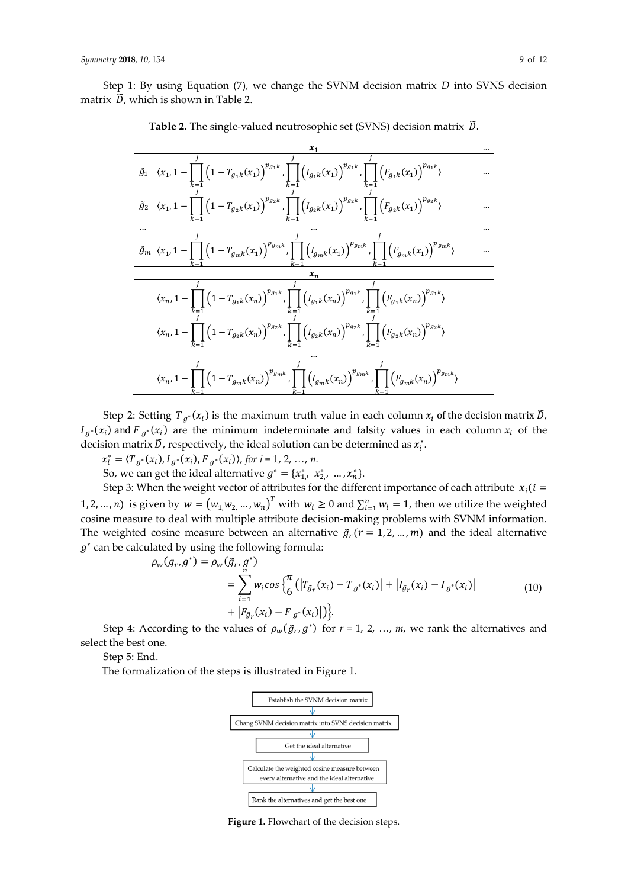Step 1: By using Equation (7), we change the SVNM decision matrix *D* into SVNS decision matrix  $\tilde{D}$ , which is shown in Table 2.

| $\tilde{g}_1 \quad \  \  \langle x_1, 1-\prod_{k=1}\left(1-T_{g_1k}(x_1)\right)^{p_{g_1k}}, \prod_{k=1}\left(I_{g_1k}(x_1)\right)^{p_{g_1k}}, \prod_{k=1}\left(F_{g_1k}(x_1)\right)^{p_{g_1k}}\rangle$         |  |
|----------------------------------------------------------------------------------------------------------------------------------------------------------------------------------------------------------------|--|
| $\tilde{g}_2(x_1, 1 - \prod (1 - T_{g_2k}(x_1))^{p_{g_2k}}$ , $\prod (I_{g_2k}(x_1))^{p_{g_2k}}$ , $\prod (F_{g_2k}(x_1))^{p_{g_2k}}$                                                                          |  |
|                                                                                                                                                                                                                |  |
| $\tilde{g}_m \ \langle x_1, 1-\prod_{m=1}^{n}\Big(1-T_{g_{m}k}(x_1)\Big)^{p_{g_{m}k}}, \prod_{m=1}^{n}\Big(I_{g_{m}k}(x_1)\Big)^{p_{g_{m}k}}, \prod_{m=1}^{n}\Big(F_{g_{m}k}(x_1)\Big)^{p_{g_{m}k}}\rangle$    |  |
| $x_n$                                                                                                                                                                                                          |  |
| $\langle x_n, 1-\prod_{k=1}\left(1-T_{g_1k}(x_n)\right)^{p_{g_1k}}, \prod_{k=1}\left(I_{g_1k}(x_n)\right)^{p_{g_1k}}, \prod_{k=1}\left(F_{g_1k}(x_n)\right)^{p_{g_1k}}\rangle$                                 |  |
| $\langle x_n,1-\prod\left(1-T_{g_{2}k}(x_n)\right)^{p_{g_{2}k}},\prod\left(I_{g_{2}k}(x_n)\right)^{p_{g_{2}k}},\prod\left(F_{g_{2}k}(x_n)\right)^{p_{g_{2}k}}\rangle$                                          |  |
| $\langle x_n, 1-\prod_{m}^{\prime}\left(1-T_{g_{m}k}(x_n)\right)^{p_{g_{m}k}}, \prod_{m}^{\prime}\left(\int_{g_{m}k}(x_n)\right)^{p_{g_{m}k}}, \prod_{m}^{\prime}\left(\int_{g_{m}k}(x_n)\right)^{p_{g_{m}k}}$ |  |

Table 2. The single-valued neutrosophic set (SVNS) decision matrix  $\tilde{D}$ .

Step 2: Setting  $T_{g^*}(x_i)$  is the maximum truth value in each column  $x_i$  of the decision matrix  $\widetilde{D}_i$ ,  $I_{g^*}(x_i)$  and  $F_{g^*}(x_i)$  are the minimum indeterminate and falsity values in each column  $x_i$  of the decision matrix  $\tilde{D}$ , respectively, the ideal solution can be determined as  $x_i^*$ .

 $x_i^* = \langle T_{g^*}(x_i), I_{g^*}(x_i), F_{g^*}(x_i) \rangle$ , for  $i = 1, 2, ..., n$ .

So, we can get the ideal alternative  $g^* = \{x_1^*, x_2^*, ..., x_n^*\}$ .

Step 3: When the weight vector of attributes for the different importance of each attribute  $x_i$  ( $i =$ 1, 2, ..., *n*) is given by  $w = (w_{1,}w_{2,}..., w_{n})^{T}$  with  $w_{i} \ge 0$  and  $\sum_{i=1}^{n} w_{i} = 1$ , then we utilize the weighted cosine measure to deal with multiple attribute decision-making problems with SVNM information. The weighted cosine measure between an alternative  $\tilde{g}_r(r = 1, 2, ..., m)$  and the ideal alternative  $g^*$  can be calculated by using the following formula:

$$
\rho_w(g_r, g^*) = \rho_w(\tilde{g}_r, g^*)
$$
  
= 
$$
\sum_{i=1}^n w_i \cos \left\{ \frac{\pi}{6} \left( |T_{\tilde{g}_r}(x_i) - T_{g^*}(x_i)| + |I_{\tilde{g}_r}(x_i) - I_{g^*}(x_i)| \right) + |F_{\tilde{g}_r}(x_i) - F_{g^*}(x_i)| \right\}.
$$
 (10)

Step 4: According to the values of  $\rho_w(\tilde{g}_r, g^*)$  for  $r = 1, 2, ..., m$ , we rank the alternatives and select the best one.

Step 5: End.

The formalization of the steps is illustrated in Figure 1.



**Figure 1.** Flowchart of the decision steps.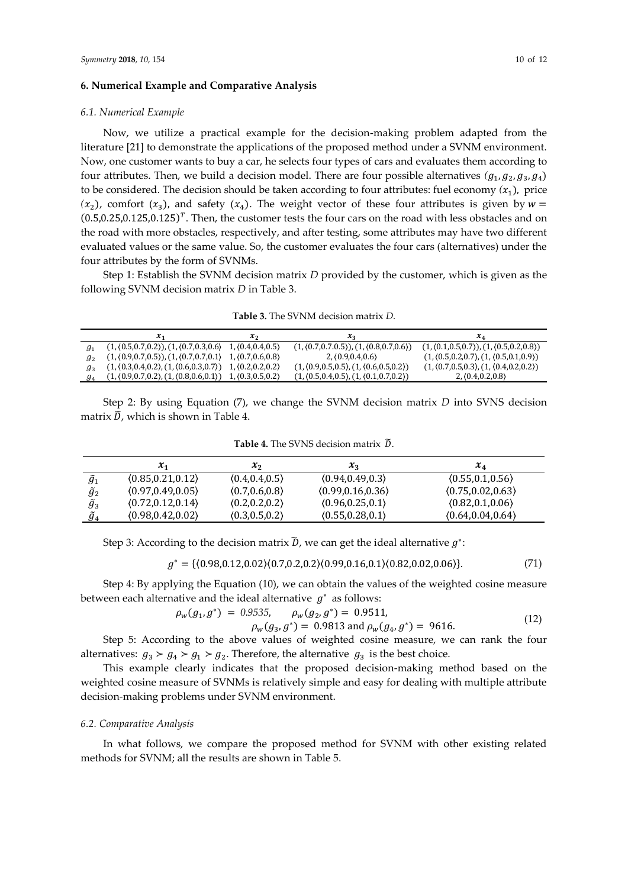## **6. Numerical Example and Comparative Analysis**

#### *6.1. Numerical Example*

Now, we utilize a practical example for the decision-making problem adapted from the literature [21] to demonstrate the applications of the proposed method under a SVNM environment. Now, one customer wants to buy a car, he selects four types of cars and evaluates them according to four attributes. Then, we build a decision model. There are four possible alternatives  $(g_1, g_2, g_3, g_4)$ to be considered. The decision should be taken according to four attributes: fuel economy  $(x_1)$ , price  $(x_2)$ , comfort  $(x_3)$ , and safety  $(x_4)$ . The weight vector of these four attributes is given by  $w =$  $(0.5, 0.25, 0.125, 0.125)^T$ . Then, the customer tests the four cars on the road with less obstacles and on the road with more obstacles, respectively, and after testing, some attributes may have two different evaluated values or the same value. So, the customer evaluates the four cars (alternatives) under the four attributes by the form of SVNMs.

Step 1: Establish the SVNM decision matrix *D* provided by the customer, which is given as the following SVNM decision matrix *D* in Table 3.

**Table 3.** The SVNM decision matrix *D*.

|         | $\mathcal{A}$ 1                                                  | <b>A</b> <sub>2</sub> | $\mathcal{L}_2$                                                          | $\lambda_4$                                                              |
|---------|------------------------------------------------------------------|-----------------------|--------------------------------------------------------------------------|--------------------------------------------------------------------------|
|         | $(1, (0.5, 0.7, 0.2)), (1, (0.7, 0.3, 0.6), 1, (0.4, 0.4, 0.5))$ |                       | $(1, \langle 0.7, 0.7, 0.5 \rangle), (1, \langle 0.8, 0.7, 0.6 \rangle)$ | $(1, \langle 0.1, 0.5, 0.7 \rangle), (1, \langle 0.5, 0.2, 0.8 \rangle)$ |
|         | $(1, (0.9, 0.7, 0.5)), (1, (0.7, 0.7, 0.1), 1, (0.7, 0.6, 0.8))$ |                       | $2. \langle 0.9.0.4.0.6 \rangle$                                         | $(1, \langle 0.5, 0.2, 0.7 \rangle, (1, \langle 0.5, 0.1, 0.9 \rangle))$ |
|         | $(1, (0.3, 0.4, 0.2), (1, (0.6, 0.3, 0.7))$ 1, $(0.2, 0.2, 0.2)$ |                       | $(1, (0.9, 0.5, 0.5), (1, (0.6, 0.5, 0.2))$                              | $(1, \langle 0.7, 0.5, 0.3 \rangle, (1, \langle 0.4, 0.2, 0.2 \rangle))$ |
| $g_4$ ' | $(1, (0.9, 0.7, 0.2), (1, (0.8, 0.6, 0.1))$ 1, $(0.3, 0.5, 0.2)$ |                       | $(1, (0.5, 0.4, 0.5), (1, (0.1, 0.7, 0.2))$                              | 2, (0.4, 0.2, 0.8)                                                       |

Step 2: By using Equation (7), we change the SVNM decision matrix *D* into SVNS decision matrix  $\tilde{D}$ , which is shown in Table 4.

|                    | $\mathcal{X}_1$    | $x_2$           | $x_{3}$            | $x_4$              |
|--------------------|--------------------|-----------------|--------------------|--------------------|
| $\widetilde{g}_1$  | (0.85, 0.21, 0.12) | (0.4, 0.4, 0.5) | (0.94, 0.49, 0.3)  | (0.55, 0.1, 0.56)  |
| ${\widetilde g}_2$ | (0.97, 0.49, 0.05) | (0.7, 0.6, 0.8) | (0.99, 0.16, 0.36) | (0.75, 0.02, 0.63) |
| $\widetilde{g}_3$  | (0.72, 0.12, 0.14) | (0.2, 0.2, 0.2) | (0.96, 0.25, 0.1)  | (0.82, 0.1, 0.06)  |
|                    | (0.98, 0.42, 0.02) | (0.3, 0.5, 0.2) | (0.55, 0.28, 0.1)  | (0.64, 0.04, 0.64) |

**Table 4.** The SVNS decision matrix  $\tilde{D}$ .

Step 3: According to the decision matrix  $\widetilde{D}$ , we can get the ideal alternative  $g^*$ :

$$
g^* = \{ (0.98, 0.12, 0.02) \ (0.7, 0.2, 0.2) \ (0.99, 0.16, 0.1) \ (0.82, 0.02, 0.06) \}. \tag{71}
$$

Step 4: By applying the Equation (10), we can obtain the values of the weighted cosine measure between each alternative and the ideal alternative  $g^*$  as follows:

$$
\rho_w(g_1, g^*) = 0.9535, \qquad \rho_w(g_2, g^*) = 0.9511, \n\rho_w(g_3, g^*) = 0.9813 \text{ and } \rho_w(g_4, g^*) = 9616.
$$
\n(12)

Step 5: According to the above values of weighted cosine measure, we can rank the four alternatives:  $g_3 > g_4 > g_1 > g_2$ . Therefore, the alternative  $g_3$  is the best choice.

This example clearly indicates that the proposed decision-making method based on the weighted cosine measure of SVNMs is relatively simple and easy for dealing with multiple attribute decision-making problems under SVNM environment.

#### *6.2. Comparative Analysis*

In what follows, we compare the proposed method for SVNM with other existing related methods for SVNM; all the results are shown in Table 5.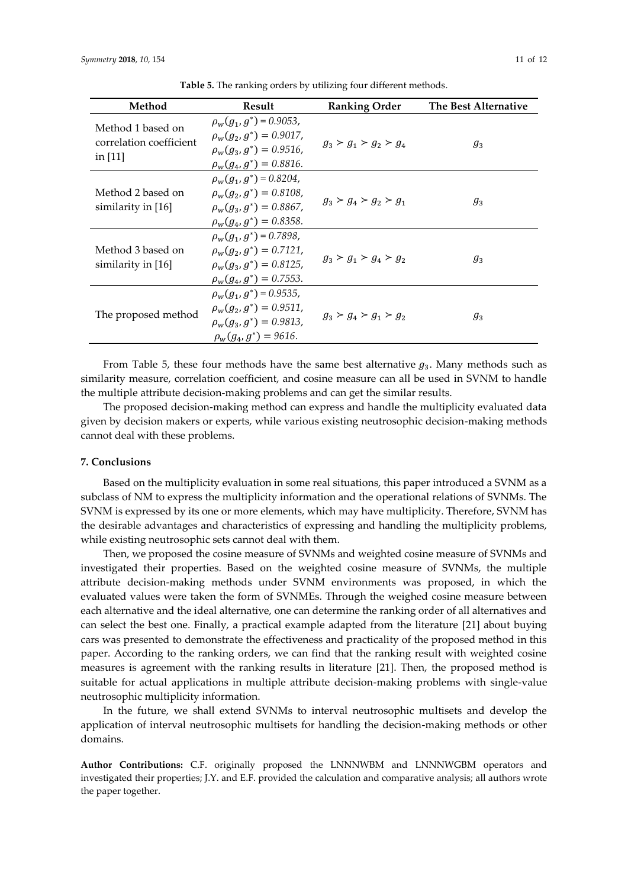| Method                                                    | Result                                                                                                                          | <b>Ranking Order</b>    | The Best Alternative |
|-----------------------------------------------------------|---------------------------------------------------------------------------------------------------------------------------------|-------------------------|----------------------|
| Method 1 based on<br>correlation coefficient<br>in $[11]$ | $\rho_w(g_1, g^*) = 0.9053$ ,<br>$\rho_w(g_2, g^*) = 0.9017$ ,<br>$\rho_w(g_3, g^*) = 0.9516.$<br>$\rho_w(g_4, g^*) = 0.8816.$  | $g_3 > g_1 > g_2 > g_4$ | $g_3$                |
| Method 2 based on<br>similarity in $[16]$                 | $\rho_w(g_1, g^*) = 0.8204,$<br>$\rho_w(q_2, q^*) = 0.8108$ ,<br>$\rho_w(g_3, g^*) = 0.8867$ ,<br>$\rho_w(g_4, g^*) = 0.8358.$  | $g_3 > g_4 > g_2 > g_1$ | $g_3$                |
| Method 3 based on<br>similarity in $[16]$                 | $\rho_w(g_1, g^*) = 0.7898$ ,<br>$\rho_w(q_2, q^*) = 0.7121$ ,<br>$\rho_w(g_3, g^*) = 0.8125$ ,<br>$\rho_w(g_4, g^*) = 0.7553.$ | $g_3 > g_1 > g_4 > g_2$ | $g_3$                |
| The proposed method                                       | $\rho_w(g_1, g^*) = 0.9535$ ,<br>$\rho_w(g_2, g^*) = 0.9511.$<br>$\rho_w(g_3, g^*) = 0.9813.$<br>$\rho_w(g_4, g^*) = 9616.$     | $g_3 > g_4 > g_1 > g_2$ | $g_3$                |

**Table 5.** The ranking orders by utilizing four different methods.

From Table 5, these four methods have the same best alternative  $g_3$ . Many methods such as similarity measure, correlation coefficient, and cosine measure can all be used in SVNM to handle the multiple attribute decision-making problems and can get the similar results.

The proposed decision-making method can express and handle the multiplicity evaluated data given by decision makers or experts, while various existing neutrosophic decision-making methods cannot deal with these problems.

# **7. Conclusions**

Based on the multiplicity evaluation in some real situations, this paper introduced a SVNM as a subclass of NM to express the multiplicity information and the operational relations of SVNMs. The SVNM is expressed by its one or more elements, which may have multiplicity. Therefore, SVNM has the desirable advantages and characteristics of expressing and handling the multiplicity problems, while existing neutrosophic sets cannot deal with them.

Then, we proposed the cosine measure of SVNMs and weighted cosine measure of SVNMs and investigated their properties. Based on the weighted cosine measure of SVNMs, the multiple attribute decision-making methods under SVNM environments was proposed, in which the evaluated values were taken the form of SVNMEs. Through the weighed cosine measure between each alternative and the ideal alternative, one can determine the ranking order of all alternatives and can select the best one. Finally, a practical example adapted from the literature [21] about buying cars was presented to demonstrate the effectiveness and practicality of the proposed method in this paper. According to the ranking orders, we can find that the ranking result with weighted cosine measures is agreement with the ranking results in literature [21]. Then, the proposed method is suitable for actual applications in multiple attribute decision-making problems with single-value neutrosophic multiplicity information.

In the future, we shall extend SVNMs to interval neutrosophic multisets and develop the application of interval neutrosophic multisets for handling the decision-making methods or other domains.

**Author Contributions:** C.F. originally proposed the LNNNWBM and LNNNWGBM operators and investigated their properties; J.Y. and E.F. provided the calculation and comparative analysis; all authors wrote the paper together.